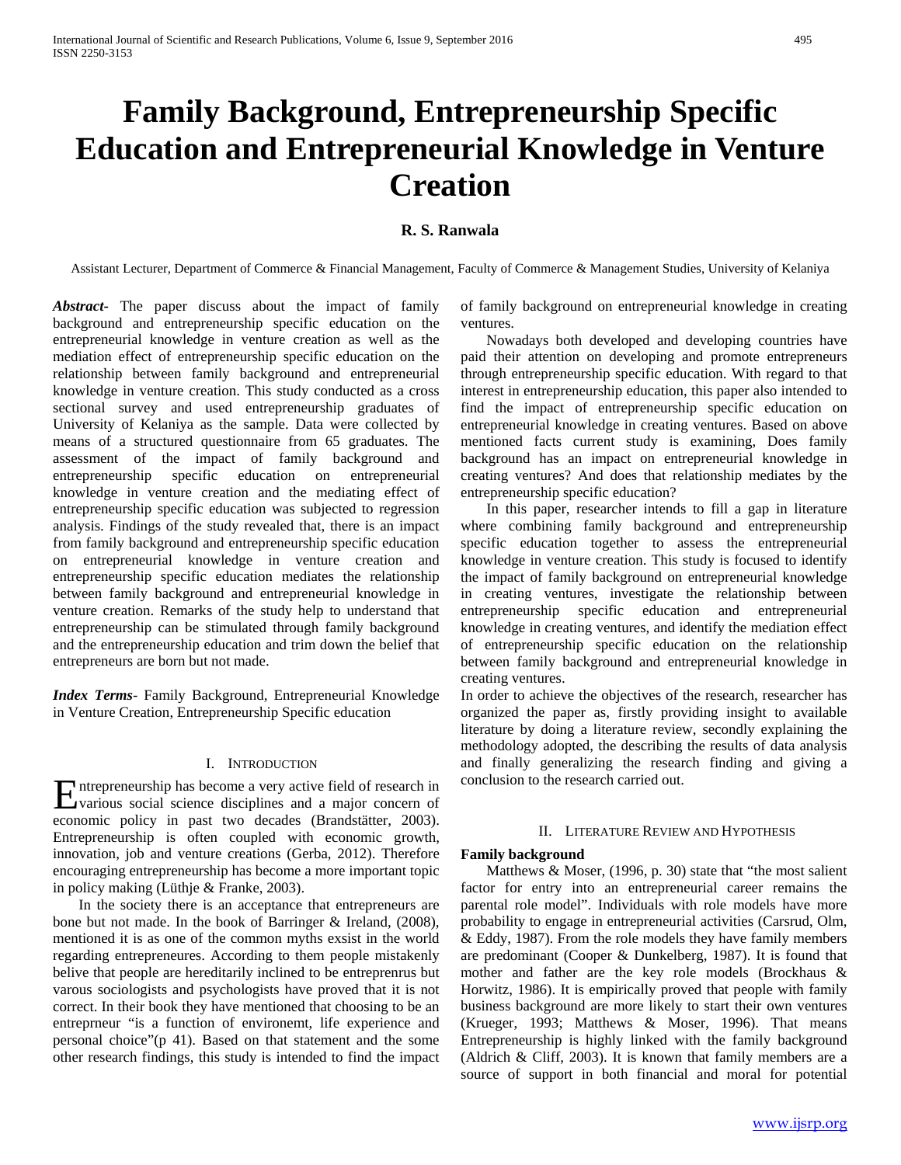# **Family Background, Entrepreneurship Specific Education and Entrepreneurial Knowledge in Venture Creation**

# **R. S. Ranwala**

Assistant Lecturer, Department of Commerce & Financial Management, Faculty of Commerce & Management Studies, University of Kelaniya

*Abstract***-** The paper discuss about the impact of family background and entrepreneurship specific education on the entrepreneurial knowledge in venture creation as well as the mediation effect of entrepreneurship specific education on the relationship between family background and entrepreneurial knowledge in venture creation. This study conducted as a cross sectional survey and used entrepreneurship graduates of University of Kelaniya as the sample. Data were collected by means of a structured questionnaire from 65 graduates. The assessment of the impact of family background and entrepreneurship specific education on entrepreneurial knowledge in venture creation and the mediating effect of entrepreneurship specific education was subjected to regression analysis. Findings of the study revealed that, there is an impact from family background and entrepreneurship specific education on entrepreneurial knowledge in venture creation and entrepreneurship specific education mediates the relationship between family background and entrepreneurial knowledge in venture creation. Remarks of the study help to understand that entrepreneurship can be stimulated through family background and the entrepreneurship education and trim down the belief that entrepreneurs are born but not made.

*Index Terms*- Family Background, Entrepreneurial Knowledge in Venture Creation, Entrepreneurship Specific education

### I. INTRODUCTION

ntrepreneurship has become a very active field of research in Entrepreneurship has become a very active field of research in<br>
various social science disciplines and a major concern of economic policy in past two decades (Brandstätter, 2003). Entrepreneurship is often coupled with economic growth, innovation, job and venture creations (Gerba, 2012). Therefore encouraging entrepreneurship has become a more important topic in policy making (Lüthje & Franke, 2003).

 In the society there is an acceptance that entrepreneurs are bone but not made. In the book of Barringer & Ireland, (2008), mentioned it is as one of the common myths exsist in the world regarding entrepreneures. According to them people mistakenly belive that people are hereditarily inclined to be entreprenrus but varous sociologists and psychologists have proved that it is not correct. In their book they have mentioned that choosing to be an entreprneur "is a function of environemt, life experience and personal choice"(p 41). Based on that statement and the some other research findings, this study is intended to find the impact

of family background on entrepreneurial knowledge in creating ventures.

 Nowadays both developed and developing countries have paid their attention on developing and promote entrepreneurs through entrepreneurship specific education. With regard to that interest in entrepreneurship education, this paper also intended to find the impact of entrepreneurship specific education on entrepreneurial knowledge in creating ventures. Based on above mentioned facts current study is examining, Does family background has an impact on entrepreneurial knowledge in creating ventures? And does that relationship mediates by the entrepreneurship specific education?

 In this paper, researcher intends to fill a gap in literature where combining family background and entrepreneurship specific education together to assess the entrepreneurial knowledge in venture creation. This study is focused to identify the impact of family background on entrepreneurial knowledge in creating ventures, investigate the relationship between entrepreneurship specific education and entrepreneurial knowledge in creating ventures, and identify the mediation effect of entrepreneurship specific education on the relationship between family background and entrepreneurial knowledge in creating ventures.

In order to achieve the objectives of the research, researcher has organized the paper as, firstly providing insight to available literature by doing a literature review, secondly explaining the methodology adopted, the describing the results of data analysis and finally generalizing the research finding and giving a conclusion to the research carried out.

### II. LITERATURE REVIEW AND HYPOTHESIS

# **Family background**

 Matthews & Moser, (1996, p. 30) state that "the most salient factor for entry into an entrepreneurial career remains the parental role model". Individuals with role models have more probability to engage in entrepreneurial activities (Carsrud, Olm, & Eddy, 1987). From the role models they have family members are predominant (Cooper & Dunkelberg, 1987). It is found that mother and father are the key role models (Brockhaus & Horwitz, 1986). It is empirically proved that people with family business background are more likely to start their own ventures (Krueger, 1993; Matthews & Moser, 1996). That means Entrepreneurship is highly linked with the family background (Aldrich & Cliff, 2003). It is known that family members are a source of support in both financial and moral for potential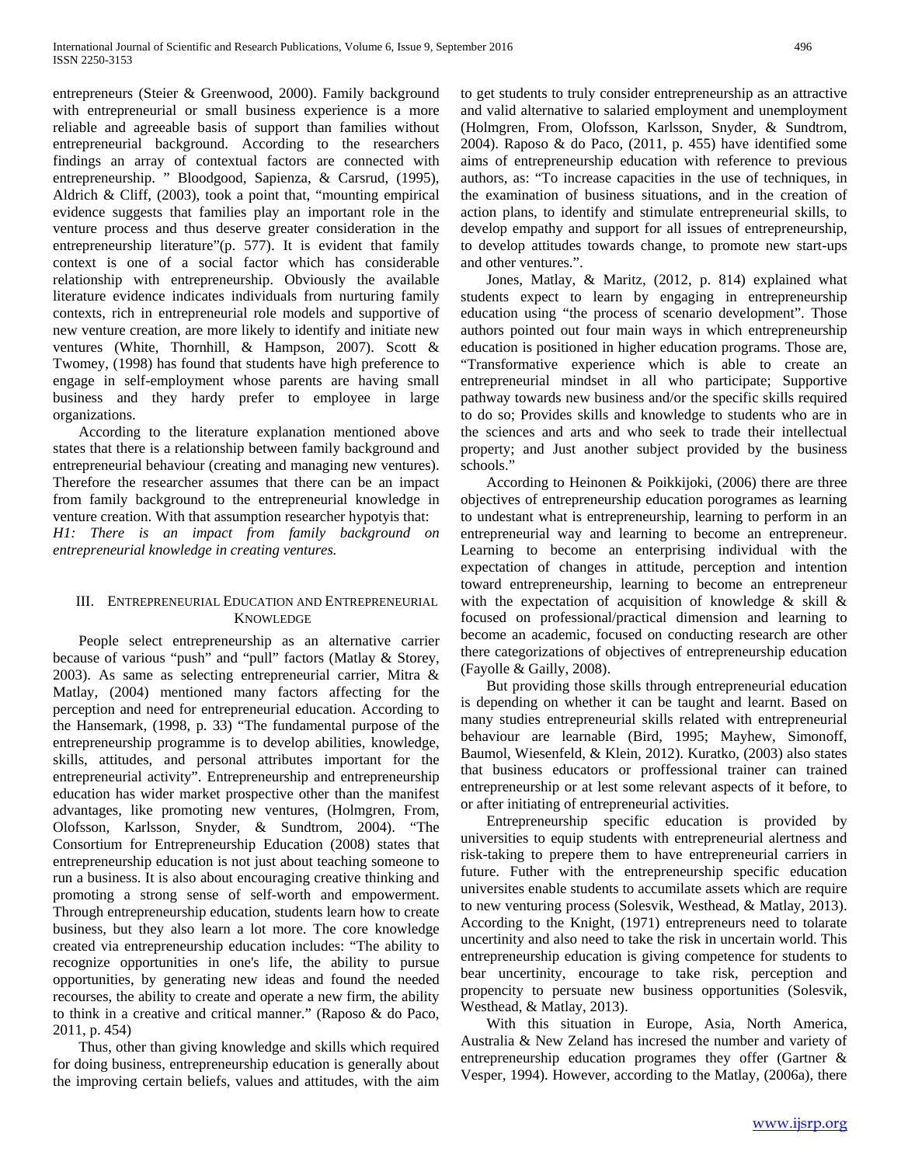entrepreneurs (Steier & Greenwood, 2000). Family background with entrepreneurial or small business experience is a more reliable and agreeable basis of support than families without entrepreneurial background. According to the researchers findings an array of contextual factors are connected with entrepreneurship. " Bloodgood, Sapienza, & Carsrud, (1995), Aldrich & Cliff, (2003), took a point that, "mounting empirical evidence suggests that families play an important role in the venture process and thus deserve greater consideration in the entrepreneurship literature"(p. 577). It is evident that family context is one of a social factor which has considerable relationship with entrepreneurship. Obviously the available literature evidence indicates individuals from nurturing family contexts, rich in entrepreneurial role models and supportive of new venture creation, are more likely to identify and initiate new ventures (White, Thornhill, & Hampson, 2007). Scott & Twomey, (1998) has found that students have high preference to engage in self-employment whose parents are having small business and they hardy prefer to employee in large organizations.

 According to the literature explanation mentioned above states that there is a relationship between family background and entrepreneurial behaviour (creating and managing new ventures). Therefore the researcher assumes that there can be an impact from family background to the entrepreneurial knowledge in venture creation. With that assumption researcher hypotyis that: *H1: There is an impact from family background on entrepreneurial knowledge in creating ventures.*

# III. ENTREPRENEURIAL EDUCATION AND ENTREPRENEURIAL **KNOWLEDGE**

 People select entrepreneurship as an alternative carrier because of various "push" and "pull" factors (Matlay & Storey, 2003). As same as selecting entrepreneurial carrier, Mitra & Matlay, (2004) mentioned many factors affecting for the perception and need for entrepreneurial education. According to the Hansemark, (1998, p. 33) "The fundamental purpose of the entrepreneurship programme is to develop abilities, knowledge, skills, attitudes, and personal attributes important for the entrepreneurial activity". Entrepreneurship and entrepreneurship education has wider market prospective other than the manifest advantages, like promoting new ventures, (Holmgren, From, Olofsson, Karlsson, Snyder, & Sundtrom, 2004). "The Consortium for Entrepreneurship Education (2008) states that entrepreneurship education is not just about teaching someone to run a business. It is also about encouraging creative thinking and promoting a strong sense of self-worth and empowerment. Through entrepreneurship education, students learn how to create business, but they also learn a lot more. The core knowledge created via entrepreneurship education includes: "The ability to recognize opportunities in one's life, the ability to pursue opportunities, by generating new ideas and found the needed recourses, the ability to create and operate a new firm, the ability to think in a creative and critical manner." (Raposo & do Paco, 2011, p. 454)

 Thus, other than giving knowledge and skills which required for doing business, entrepreneurship education is generally about the improving certain beliefs, values and attitudes, with the aim to get students to truly consider entrepreneurship as an attractive and valid alternative to salaried employment and unemployment (Holmgren, From, Olofsson, Karlsson, Snyder, & Sundtrom, 2004). Raposo & do Paco, (2011, p. 455) have identified some aims of entrepreneurship education with reference to previous authors, as: "To increase capacities in the use of techniques, in the examination of business situations, and in the creation of action plans, to identify and stimulate entrepreneurial skills, to develop empathy and support for all issues of entrepreneurship, to develop attitudes towards change, to promote new start-ups and other ventures.".

 Jones, Matlay, & Maritz, (2012, p. 814) explained what students expect to learn by engaging in entrepreneurship education using "the process of scenario development". Those authors pointed out four main ways in which entrepreneurship education is positioned in higher education programs. Those are, "Transformative experience which is able to create an entrepreneurial mindset in all who participate; Supportive pathway towards new business and/or the specific skills required to do so; Provides skills and knowledge to students who are in the sciences and arts and who seek to trade their intellectual property; and Just another subject provided by the business schools."

 According to Heinonen & Poikkijoki, (2006) there are three objectives of entrepreneurship education porogrames as learning to undestant what is entrepreneurship, learning to perform in an entrepreneurial way and learning to become an entrepreneur. Learning to become an enterprising individual with the expectation of changes in attitude, perception and intention toward entrepreneurship, learning to become an entrepreneur with the expectation of acquisition of knowledge  $\&$  skill  $\&$ focused on professional/practical dimension and learning to become an academic, focused on conducting research are other there categorizations of objectives of entrepreneurship education (Fayolle & Gailly, 2008).

 But providing those skills through entrepreneurial education is depending on whether it can be taught and learnt. Based on many studies entrepreneurial skills related with entrepreneurial behaviour are learnable (Bird, 1995; Mayhew, Simonoff, Baumol, Wiesenfeld, & Klein, 2012). Kuratko, (2003) also states that business educators or proffessional trainer can trained entrepreneurship or at lest some relevant aspects of it before, to or after initiating of entrepreneurial activities.

 Entrepreneurship specific education is provided by universities to equip students with entrepreneurial alertness and risk-taking to prepere them to have entrepreneurial carriers in future. Futher with the entrepreneurship specific education universites enable students to accumilate assets which are require to new venturing process (Solesvik, Westhead, & Matlay, 2013). According to the Knight, (1971) entrepreneurs need to tolarate uncertinity and also need to take the risk in uncertain world. This entrepreneurship education is giving competence for students to bear uncertinity, encourage to take risk, perception and propencity to persuate new business opportunities (Solesvik, Westhead, & Matlay, 2013).

 With this situation in Europe, Asia, North America, Australia & New Zeland has incresed the number and variety of entrepreneurship education programes they offer (Gartner & Vesper, 1994). However, according to the Matlay, (2006a), there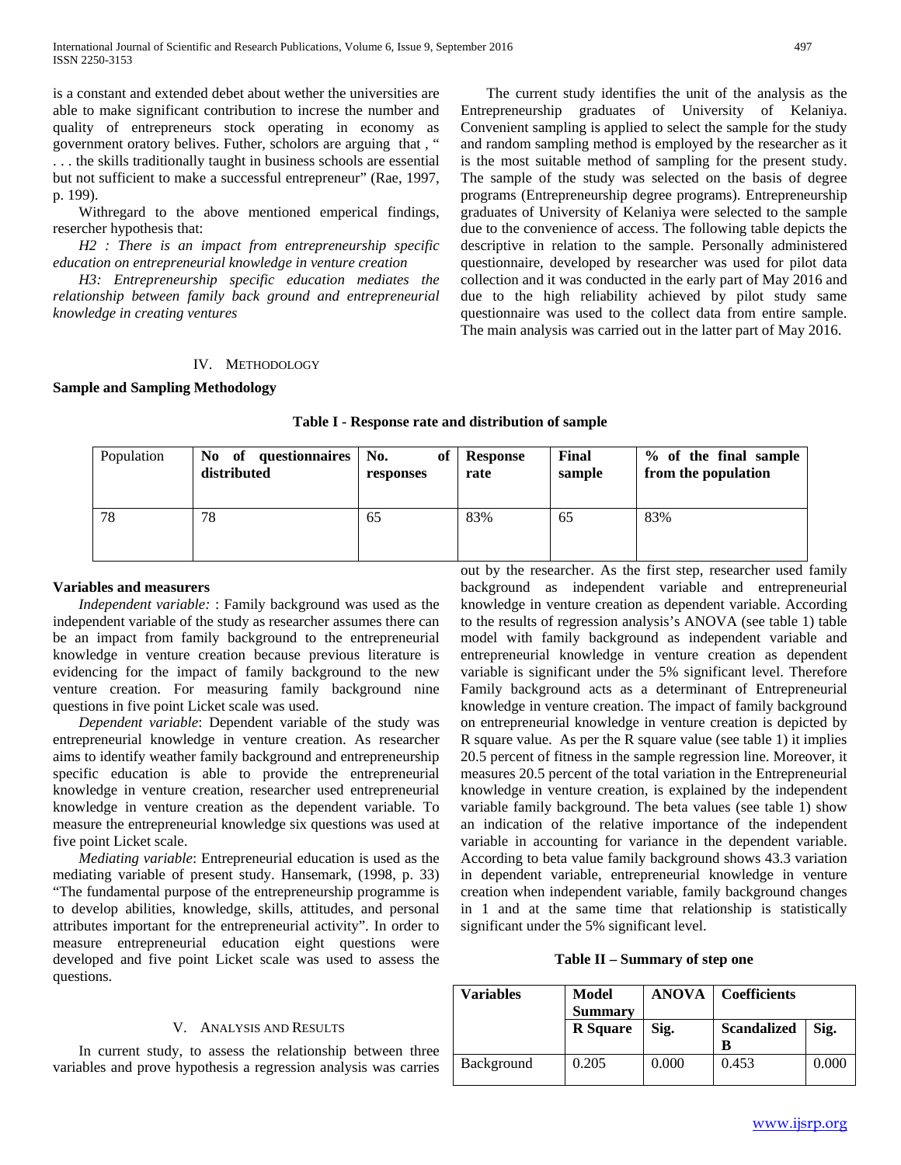is a constant and extended debet about wether the universities are able to make significant contribution to increse the number and quality of entrepreneurs stock operating in economy as government oratory belives. Futher, scholors are arguing that , " . . . the skills traditionally taught in business schools are essential but not sufficient to make a successful entrepreneur" (Rae, 1997, p. 199).

 Withregard to the above mentioned emperical findings, resercher hypothesis that:

 *H2 : There is an impact from entrepreneurship specific education on entrepreneurial knowledge in venture creation*

 *H3: Entrepreneurship specific education mediates the relationship between family back ground and entrepreneurial knowledge in creating ventures*

 The current study identifies the unit of the analysis as the Entrepreneurship graduates of University of Kelaniya. Convenient sampling is applied to select the sample for the study and random sampling method is employed by the researcher as it is the most suitable method of sampling for the present study. The sample of the study was selected on the basis of degree programs (Entrepreneurship degree programs). Entrepreneurship graduates of University of Kelaniya were selected to the sample due to the convenience of access. The following table depicts the descriptive in relation to the sample. Personally administered questionnaire, developed by researcher was used for pilot data collection and it was conducted in the early part of May 2016 and due to the high reliability achieved by pilot study same questionnaire was used to the collect data from entire sample. The main analysis was carried out in the latter part of May 2016.

# IV. METHODOLOGY

## **Sample and Sampling Methodology**

## **Table I - Response rate and distribution of sample**

| Population | of questionnaires   No.<br>No.<br>distributed | оf<br>responses | <b>Response</b><br>rate | Final<br>sample | % of the final sample<br>from the population |
|------------|-----------------------------------------------|-----------------|-------------------------|-----------------|----------------------------------------------|
| 78         | 78                                            | 65              | 83%                     | 65              | 83%                                          |

## **Variables and measurers**

 *Independent variable:* : Family background was used as the independent variable of the study as researcher assumes there can be an impact from family background to the entrepreneurial knowledge in venture creation because previous literature is evidencing for the impact of family background to the new venture creation. For measuring family background nine questions in five point Licket scale was used.

 *Dependent variable*: Dependent variable of the study was entrepreneurial knowledge in venture creation. As researcher aims to identify weather family background and entrepreneurship specific education is able to provide the entrepreneurial knowledge in venture creation, researcher used entrepreneurial knowledge in venture creation as the dependent variable. To measure the entrepreneurial knowledge six questions was used at five point Licket scale.

 *Mediating variable*: Entrepreneurial education is used as the mediating variable of present study. Hansemark, (1998, p. 33) "The fundamental purpose of the entrepreneurship programme is to develop abilities, knowledge, skills, attitudes, and personal attributes important for the entrepreneurial activity". In order to measure entrepreneurial education eight questions were developed and five point Licket scale was used to assess the questions.

## V. ANALYSIS AND RESULTS

 In current study, to assess the relationship between three variables and prove hypothesis a regression analysis was carries

out by the researcher. As the first step, researcher used family background as independent variable and entrepreneurial knowledge in venture creation as dependent variable. According to the results of regression analysis's ANOVA (see table 1) table model with family background as independent variable and entrepreneurial knowledge in venture creation as dependent variable is significant under the 5% significant level. Therefore Family background acts as a determinant of Entrepreneurial knowledge in venture creation. The impact of family background on entrepreneurial knowledge in venture creation is depicted by R square value. As per the R square value (see table 1) it implies 20.5 percent of fitness in the sample regression line. Moreover, it measures 20.5 percent of the total variation in the Entrepreneurial knowledge in venture creation, is explained by the independent variable family background. The beta values (see table 1) show an indication of the relative importance of the independent variable in accounting for variance in the dependent variable. According to beta value family background shows 43.3 variation in dependent variable, entrepreneurial knowledge in venture creation when independent variable, family background changes in 1 and at the same time that relationship is statistically significant under the 5% significant level.

# **Table II – Summary of step one**

| Variables  | Model<br><b>Summary</b> | <b>ANOVA</b> | <b>Coefficients</b>     |       |
|------------|-------------------------|--------------|-------------------------|-------|
|            | <b>R</b> Square         | Sig.         | <b>Scandalized</b><br>B | Sig.  |
| Background | 0.205                   | 0.000        | 0.453                   | 0.000 |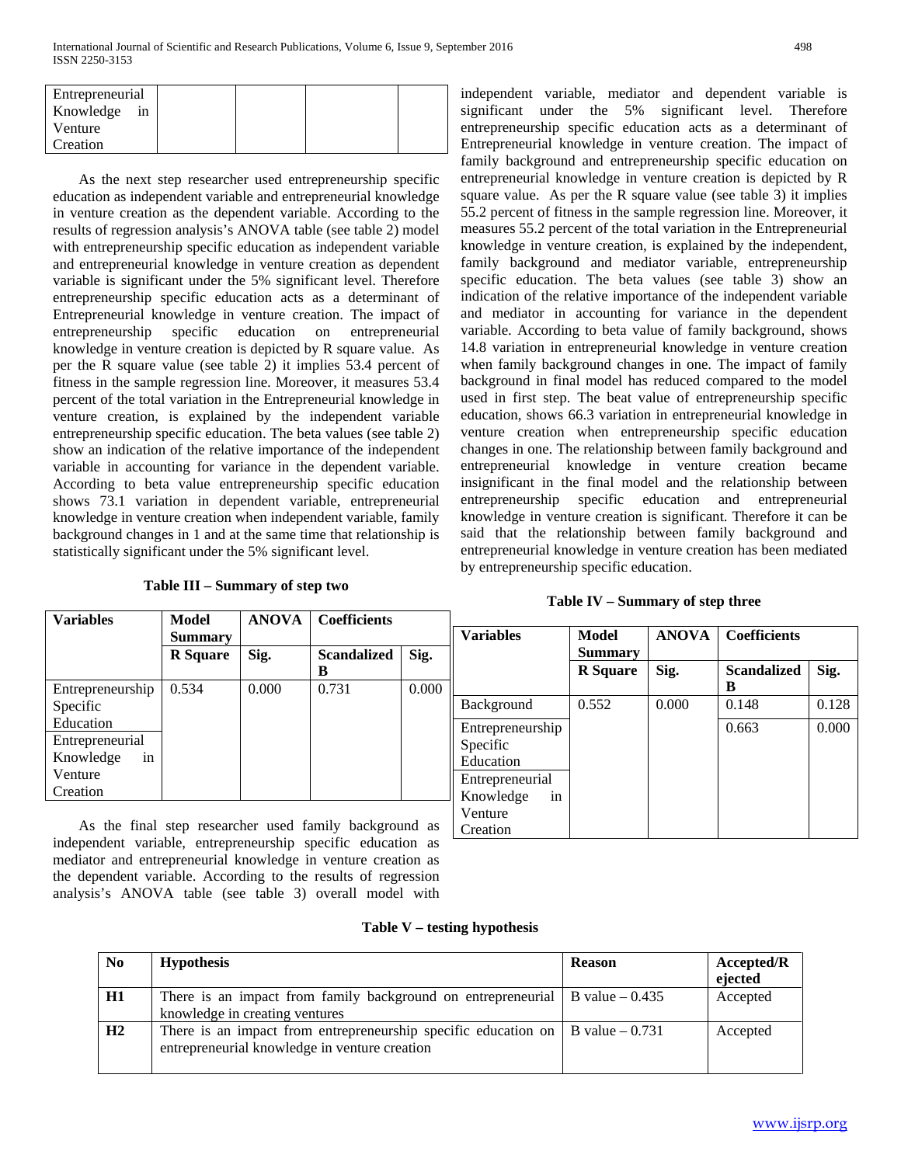| Entrepreneurial |  |  |
|-----------------|--|--|
| in<br>Knowledge |  |  |
| Venture         |  |  |
| Creation        |  |  |

 As the next step researcher used entrepreneurship specific education as independent variable and entrepreneurial knowledge in venture creation as the dependent variable. According to the results of regression analysis's ANOVA table (see table 2) model with entrepreneurship specific education as independent variable and entrepreneurial knowledge in venture creation as dependent variable is significant under the 5% significant level. Therefore entrepreneurship specific education acts as a determinant of Entrepreneurial knowledge in venture creation. The impact of entrepreneurship specific education on entrepreneurial knowledge in venture creation is depicted by R square value. As per the R square value (see table 2) it implies 53.4 percent of fitness in the sample regression line. Moreover, it measures 53.4 percent of the total variation in the Entrepreneurial knowledge in venture creation, is explained by the independent variable entrepreneurship specific education. The beta values (see table 2) show an indication of the relative importance of the independent variable in accounting for variance in the dependent variable. According to beta value entrepreneurship specific education shows 73.1 variation in dependent variable, entrepreneurial knowledge in venture creation when independent variable, family background changes in 1 and at the same time that relationship is statistically significant under the 5% significant level.

**Table III – Summary of step two**

independent variable, mediator and dependent variable is significant under the 5% significant level. Therefore entrepreneurship specific education acts as a determinant of Entrepreneurial knowledge in venture creation. The impact of family background and entrepreneurship specific education on entrepreneurial knowledge in venture creation is depicted by R square value. As per the R square value (see table 3) it implies 55.2 percent of fitness in the sample regression line. Moreover, it measures 55.2 percent of the total variation in the Entrepreneurial knowledge in venture creation, is explained by the independent, family background and mediator variable, entrepreneurship specific education. The beta values (see table 3) show an indication of the relative importance of the independent variable and mediator in accounting for variance in the dependent variable. According to beta value of family background, shows 14.8 variation in entrepreneurial knowledge in venture creation when family background changes in one. The impact of family background in final model has reduced compared to the model used in first step. The beat value of entrepreneurship specific education, shows 66.3 variation in entrepreneurial knowledge in venture creation when entrepreneurship specific education changes in one. The relationship between family background and entrepreneurial knowledge in venture creation became insignificant in the final model and the relationship between entrepreneurship specific education and entrepreneurial knowledge in venture creation is significant. Therefore it can be said that the relationship between family background and entrepreneurial knowledge in venture creation has been mediated by entrepreneurship specific education.

# **Table IV – Summary of step three**

| <b>Variables</b> | Model           | <b>ANOVA</b> | <b>Coefficients</b> |       |                  |                 |              |                     |       |
|------------------|-----------------|--------------|---------------------|-------|------------------|-----------------|--------------|---------------------|-------|
|                  | <b>Summary</b>  |              |                     |       | <b>Variables</b> | <b>Model</b>    | <b>ANOVA</b> | <b>Coefficients</b> |       |
|                  | <b>R</b> Square | Sig.         | <b>Scandalized</b>  | Sig.  |                  | <b>Summary</b>  |              |                     |       |
|                  |                 |              | В                   |       |                  | <b>R</b> Square | Sig.         | <b>Scandalized</b>  | Sig.  |
| Entrepreneurship | 0.534           | 0.000        | 0.731               | 0.000 |                  |                 |              | B                   |       |
| Specific         |                 |              |                     |       | Background       | 0.552           | 0.000        | 0.148               | 0.128 |
| Education        |                 |              |                     |       | Entrepreneurship |                 |              | 0.663               | 0.000 |
| Entrepreneurial  |                 |              |                     |       | Specific         |                 |              |                     |       |
| Knowledge<br>in  |                 |              |                     |       | Education        |                 |              |                     |       |
| Venture          |                 |              |                     |       | Entrepreneurial  |                 |              |                     |       |
| Creation         |                 |              |                     |       | Knowledge<br>in  |                 |              |                     |       |
|                  |                 |              |                     |       | Venture          |                 |              |                     |       |

 As the final step researcher used family background as independent variable, entrepreneurship specific education as mediator and entrepreneurial knowledge in venture creation as the dependent variable. According to the results of regression analysis's ANOVA table (see table 3) overall model with

# **Table V – testing hypothesis**

Creation

| No | <b>Hypothesis</b>                                                                                                                       | <b>Reason</b> | Accepted/R<br>ejected |
|----|-----------------------------------------------------------------------------------------------------------------------------------------|---------------|-----------------------|
| H1 | There is an impact from family background on entrepreneurial $\vert$ B value $-0.435$<br>knowledge in creating ventures                 |               | Accepted              |
| H2 | There is an impact from entrepreneurship specific education on $\vert$ B value – 0.731<br>entrepreneurial knowledge in venture creation |               | Accepted              |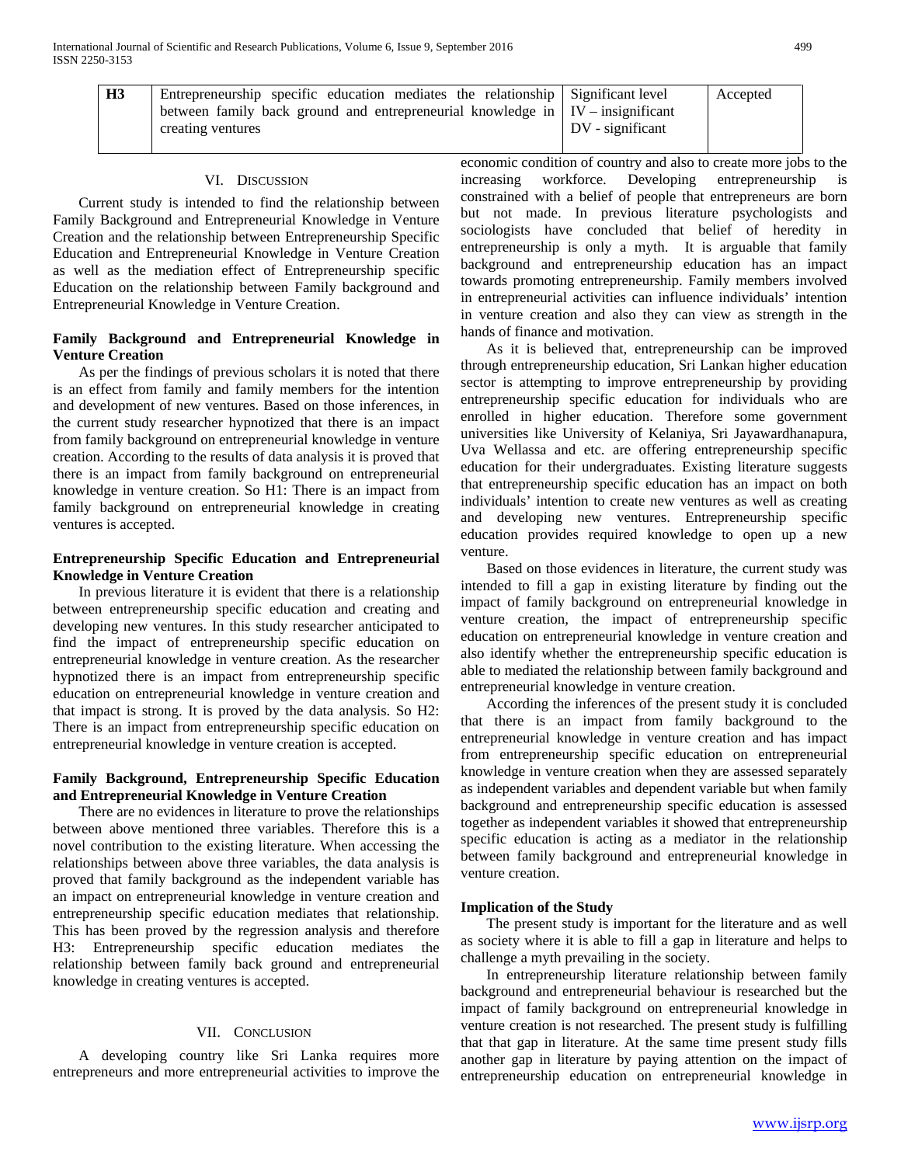| H <sub>3</sub> | Entrepreneurship specific education mediates the relationship Significant level       |                  | Accepted |
|----------------|---------------------------------------------------------------------------------------|------------------|----------|
|                | between family back ground and entrepreneurial knowledge in $\mid$ IV – insignificant |                  |          |
|                | creating ventures                                                                     | DV - significant |          |

#### VI. DISCUSSION

 Current study is intended to find the relationship between Family Background and Entrepreneurial Knowledge in Venture Creation and the relationship between Entrepreneurship Specific Education and Entrepreneurial Knowledge in Venture Creation as well as the mediation effect of Entrepreneurship specific Education on the relationship between Family background and Entrepreneurial Knowledge in Venture Creation.

# **Family Background and Entrepreneurial Knowledge in Venture Creation**

 As per the findings of previous scholars it is noted that there is an effect from family and family members for the intention and development of new ventures. Based on those inferences, in the current study researcher hypnotized that there is an impact from family background on entrepreneurial knowledge in venture creation. According to the results of data analysis it is proved that there is an impact from family background on entrepreneurial knowledge in venture creation. So H1: There is an impact from family background on entrepreneurial knowledge in creating ventures is accepted.

# **Entrepreneurship Specific Education and Entrepreneurial Knowledge in Venture Creation**

 In previous literature it is evident that there is a relationship between entrepreneurship specific education and creating and developing new ventures. In this study researcher anticipated to find the impact of entrepreneurship specific education on entrepreneurial knowledge in venture creation. As the researcher hypnotized there is an impact from entrepreneurship specific education on entrepreneurial knowledge in venture creation and that impact is strong. It is proved by the data analysis. So H2: There is an impact from entrepreneurship specific education on entrepreneurial knowledge in venture creation is accepted.

# **Family Background, Entrepreneurship Specific Education and Entrepreneurial Knowledge in Venture Creation**

 There are no evidences in literature to prove the relationships between above mentioned three variables. Therefore this is a novel contribution to the existing literature. When accessing the relationships between above three variables, the data analysis is proved that family background as the independent variable has an impact on entrepreneurial knowledge in venture creation and entrepreneurship specific education mediates that relationship. This has been proved by the regression analysis and therefore H3: Entrepreneurship specific education mediates the relationship between family back ground and entrepreneurial knowledge in creating ventures is accepted.

## VII. CONCLUSION

 A developing country like Sri Lanka requires more entrepreneurs and more entrepreneurial activities to improve the economic condition of country and also to create more jobs to the increasing workforce. Developing entrepreneurship is constrained with a belief of people that entrepreneurs are born but not made. In previous literature psychologists and sociologists have concluded that belief of heredity in entrepreneurship is only a myth. It is arguable that family background and entrepreneurship education has an impact towards promoting entrepreneurship. Family members involved in entrepreneurial activities can influence individuals' intention in venture creation and also they can view as strength in the hands of finance and motivation.

 As it is believed that, entrepreneurship can be improved through entrepreneurship education, Sri Lankan higher education sector is attempting to improve entrepreneurship by providing entrepreneurship specific education for individuals who are enrolled in higher education. Therefore some government universities like University of Kelaniya, Sri Jayawardhanapura, Uva Wellassa and etc. are offering entrepreneurship specific education for their undergraduates. Existing literature suggests that entrepreneurship specific education has an impact on both individuals' intention to create new ventures as well as creating and developing new ventures. Entrepreneurship specific education provides required knowledge to open up a new venture.

 Based on those evidences in literature, the current study was intended to fill a gap in existing literature by finding out the impact of family background on entrepreneurial knowledge in venture creation, the impact of entrepreneurship specific education on entrepreneurial knowledge in venture creation and also identify whether the entrepreneurship specific education is able to mediated the relationship between family background and entrepreneurial knowledge in venture creation.

 According the inferences of the present study it is concluded that there is an impact from family background to the entrepreneurial knowledge in venture creation and has impact from entrepreneurship specific education on entrepreneurial knowledge in venture creation when they are assessed separately as independent variables and dependent variable but when family background and entrepreneurship specific education is assessed together as independent variables it showed that entrepreneurship specific education is acting as a mediator in the relationship between family background and entrepreneurial knowledge in venture creation.

## **Implication of the Study**

 The present study is important for the literature and as well as society where it is able to fill a gap in literature and helps to challenge a myth prevailing in the society.

 In entrepreneurship literature relationship between family background and entrepreneurial behaviour is researched but the impact of family background on entrepreneurial knowledge in venture creation is not researched. The present study is fulfilling that that gap in literature. At the same time present study fills another gap in literature by paying attention on the impact of entrepreneurship education on entrepreneurial knowledge in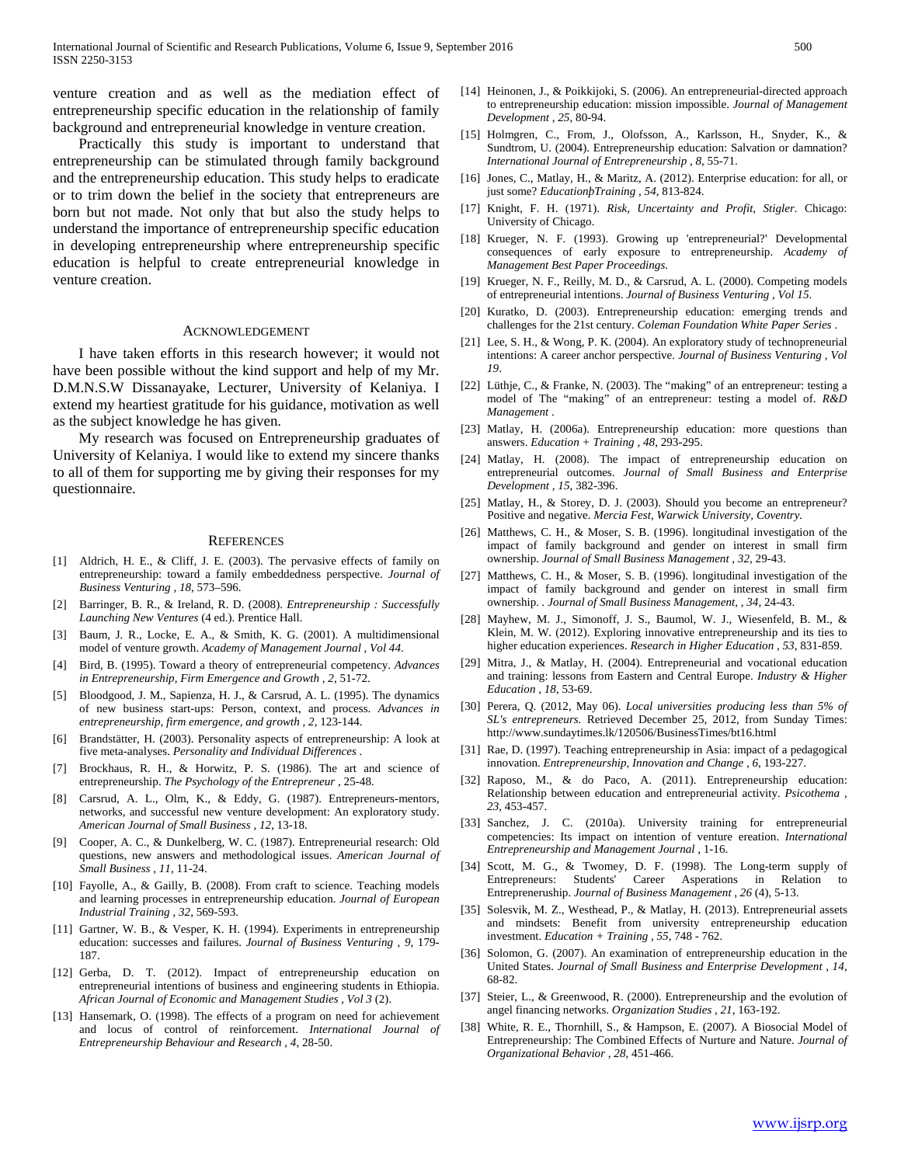venture creation and as well as the mediation effect of entrepreneurship specific education in the relationship of family background and entrepreneurial knowledge in venture creation.

 Practically this study is important to understand that entrepreneurship can be stimulated through family background and the entrepreneurship education. This study helps to eradicate or to trim down the belief in the society that entrepreneurs are born but not made. Not only that but also the study helps to understand the importance of entrepreneurship specific education in developing entrepreneurship where entrepreneurship specific education is helpful to create entrepreneurial knowledge in venture creation.

#### **ACKNOWLEDGEMENT**

 I have taken efforts in this research however; it would not have been possible without the kind support and help of my Mr. D.M.N.S.W Dissanayake, Lecturer, University of Kelaniya. I extend my heartiest gratitude for his guidance, motivation as well as the subject knowledge he has given.

 My research was focused on Entrepreneurship graduates of University of Kelaniya. I would like to extend my sincere thanks to all of them for supporting me by giving their responses for my questionnaire.

#### **REFERENCES**

- [1] Aldrich, H. E., & Cliff, J. E. (2003). The pervasive effects of family on entrepreneurship: toward a family embeddedness perspective. *Journal of Business Venturing , 18*, 573–596.
- [2] Barringer, B. R., & Ireland, R. D. (2008). *Entrepreneurship : Successfully Launching New Ventures* (4 ed.). Prentice Hall.
- Baum, J. R., Locke, E. A., & Smith, K. G. (2001). A multidimensional model of venture growth. *Academy of Management Journal , Vol 44*.
- [4] Bird, B. (1995). Toward a theory of entrepreneurial competency. *Advances in Entrepreneurship, Firm Emergence and Growth , 2*, 51-72.
- [5] Bloodgood, J. M., Sapienza, H. J., & Carsrud, A. L. (1995). The dynamics of new business start-ups: Person, context, and process. *Advances in entrepreneurship, firm emergence, and growth , 2*, 123-144.
- [6] Brandstätter, H. (2003). Personality aspects of entrepreneurship: A look at five meta-analyses. *Personality and Individual Differences* .
- [7] Brockhaus, R. H., & Horwitz, P. S. (1986). The art and science of entrepreneurship. *The Psychology of the Entrepreneur* , 25-48.
- [8] Carsrud, A. L., Olm, K., & Eddy, G. (1987). Entrepreneurs-mentors, networks, and successful new venture development: An exploratory study. *American Journal of Small Business , 12*, 13-18.
- [9] Cooper, A. C., & Dunkelberg, W. C. (1987). Entrepreneurial research: Old questions, new answers and methodological issues. *American Journal of Small Business , 11*, 11-24.
- [10] Fayolle, A., & Gailly, B. (2008). From craft to science. Teaching models and learning processes in entrepreneurship education. *Journal of European Industrial Training , 32*, 569-593.
- [11] Gartner, W. B., & Vesper, K. H. (1994). Experiments in entrepreneurship education: successes and failures. *Journal of Business Venturing , 9*, 179- 187.
- [12] Gerba, D. T. (2012). Impact of entrepreneurship education on entrepreneurial intentions of business and engineering students in Ethiopia. *African Journal of Economic and Management Studies , Vol 3* (2).
- [13] Hansemark, O. (1998). The effects of a program on need for achievement and locus of control of reinforcement. *International Journal of Entrepreneurship Behaviour and Research , 4*, 28-50.
- [14] Heinonen, J., & Poikkijoki, S. (2006). An entrepreneurial-directed approach to entrepreneurship education: mission impossible. *Journal of Management Development , 25*, 80-94.
- [15] Holmgren, C., From, J., Olofsson, A., Karlsson, H., Snyder, K., & Sundtrom, U. (2004). Entrepreneurship education: Salvation or damnation? *International Journal of Entrepreneurship , 8*, 55-71.
- [16] Jones, C., Matlay, H., & Maritz, A. (2012). Enterprise education: for all, or just some? *EducationþTraining , 54*, 813-824.
- [17] Knight, F. H. (1971). *Risk, Uncertainty and Profit, Stigler.* Chicago: University of Chicago.
- [18] Krueger, N. F. (1993). Growing up 'entrepreneurial?' Developmental consequences of early exposure to entrepreneurship. *Academy of Management Best Paper Proceedings.*
- [19] Krueger, N. F., Reilly, M. D., & Carsrud, A. L. (2000). Competing models of entrepreneurial intentions. *Journal of Business Venturing , Vol 15*.
- [20] Kuratko, D. (2003). Entrepreneurship education: emerging trends and challenges for the 21st century. *Coleman Foundation White Paper Series* .
- [21] Lee, S. H., & Wong, P. K. (2004). An exploratory study of technopreneurial intentions: A career anchor perspective. *Journal of Business Venturing , Vol 19*.
- [22] Lüthje, C., & Franke, N. (2003). The "making" of an entrepreneur: testing a model of The "making" of an entrepreneur: testing a model of. *R&D Management* .
- [23] Matlay, H. (2006a). Entrepreneurship education: more questions than answers. *Education + Training , 48*, 293-295.
- [24] Matlay, H. (2008). The impact of entrepreneurship education on entrepreneurial outcomes. *Journal of Small Business and Enterprise Development , 15*, 382-396.
- [25] Matlay, H., & Storey, D. J. (2003). Should you become an entrepreneur? Positive and negative. *Mercia Fest, Warwick University, Coventry.*
- [26] Matthews, C. H., & Moser, S. B. (1996). longitudinal investigation of the impact of family background and gender on interest in small firm ownership. *Journal of Small Business Management , 32*, 29-43.
- [27] Matthews, C. H., & Moser, S. B. (1996). longitudinal investigation of the impact of family background and gender on interest in small firm ownership. *. Journal of Small Business Management, , 34*, 24-43.
- [28] Mayhew, M. J., Simonoff, J. S., Baumol, W. J., Wiesenfeld, B. M., & Klein, M. W. (2012). Exploring innovative entrepreneurship and its ties to higher education experiences. *Research in Higher Education , 53*, 831-859.
- [29] Mitra, J., & Matlay, H. (2004). Entrepreneurial and vocational education and training: lessons from Eastern and Central Europe. *Industry & Higher Education , 18*, 53-69.
- [30] Perera, Q. (2012, May 06). *Local universities producing less than 5% of SL's entrepreneurs.* Retrieved December 25, 2012, from Sunday Times: http://www.sundaytimes.lk/120506/BusinessTimes/bt16.html
- [31] Rae, D. (1997). Teaching entrepreneurship in Asia: impact of a pedagogical innovation. *Entrepreneurship, Innovation and Change , 6*, 193-227.
- [32] Raposo, M., & do Paco, A. (2011). Entrepreneurship education: Relationship between education and entrepreneurial activity. *Psicothema , 23*, 453-457.
- [33] Sanchez, J. C. (2010a). University training for entrepreneurial competencies: Its impact on intention of venture ereation. *International Entrepreneurship and Management Journal* , 1-16.
- [34] Scott, M. G., & Twomey, D. F. (1998). The Long-term supply of Entrepreneurs: Students' Career Asperations in Relation to Entrepreneruship. *Journal of Business Management , 26* (4), 5-13.
- [35] Solesvik, M. Z., Westhead, P., & Matlay, H. (2013). Entrepreneurial assets and mindsets: Benefit from university entrepreneurship education investment. *Education + Training , 55*, 748 - 762.
- [36] Solomon, G. (2007). An examination of entrepreneurship education in the United States. *Journal of Small Business and Enterprise Development , 14*, 68-82.
- [37] Steier, L., & Greenwood, R. (2000). Entrepreneurship and the evolution of angel financing networks. *Organization Studies , 21*, 163-192.
- [38] White, R. E., Thornhill, S., & Hampson, E. (2007). A Biosocial Model of Entrepreneurship: The Combined Effects of Nurture and Nature. *Journal of Organizational Behavior , 28*, 451-466.